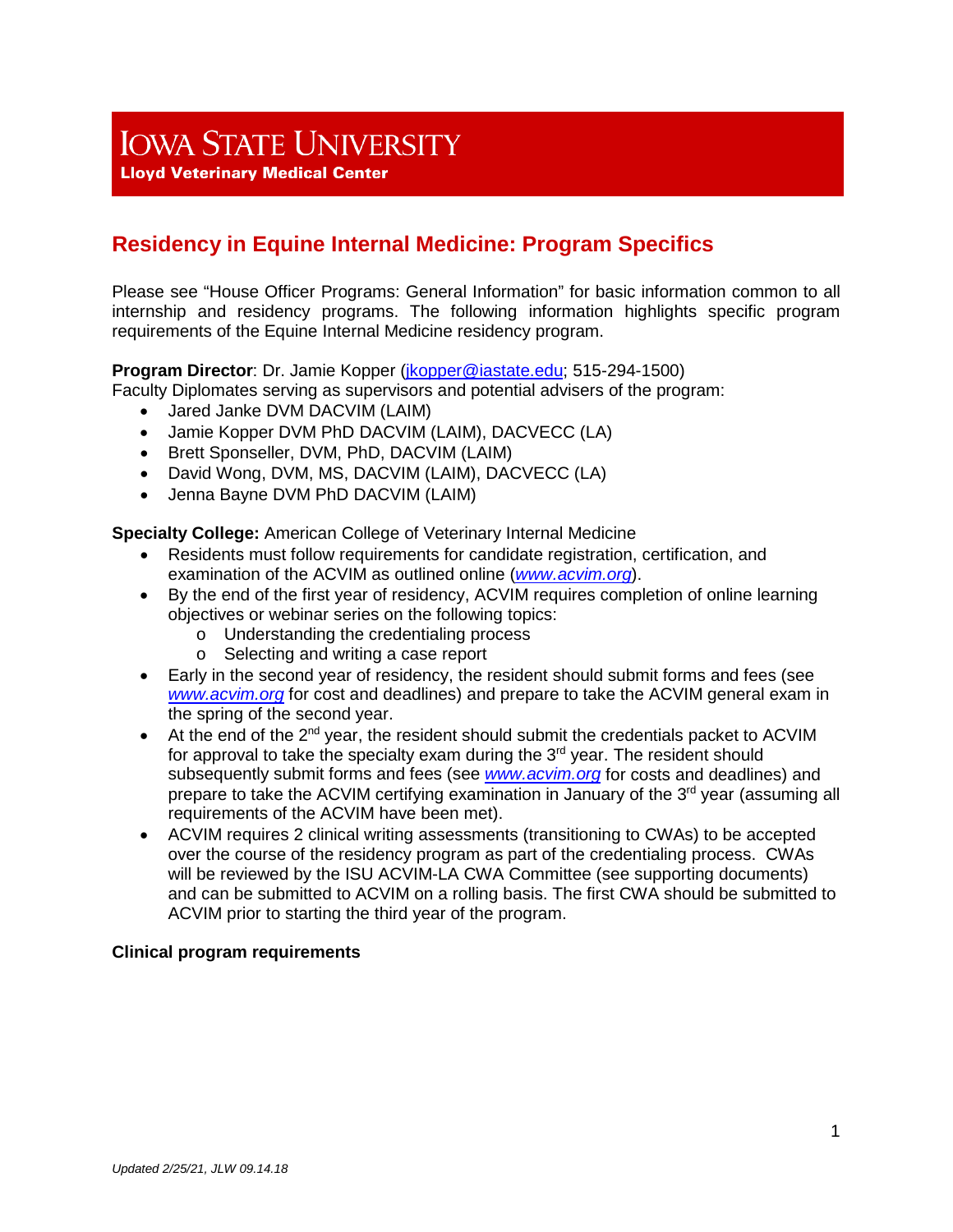# **IOWA STATE UNIVERSITY**

**Lloyd Veterinary Medical Center** 

# **Residency in Equine Internal Medicine: Program Specifics**

Please see "House Officer Programs: General Information" for basic information common to all internship and residency programs. The following information highlights specific program requirements of the Equine Internal Medicine residency program.

# **Program Director**: Dr. Jamie Kopper [\(jkopper@iastate.edu;](mailto:jkopper@iastate.edu) 515-294-1500)

Faculty Diplomates serving as supervisors and potential advisers of the program:

- Jared Janke DVM DACVIM (LAIM)
- Jamie Kopper DVM PhD DACVIM (LAIM), DACVECC (LA)
- Brett Sponseller, DVM, PhD, DACVIM (LAIM)
- David Wong, DVM, MS, DACVIM (LAIM), DACVECC (LA)
- Jenna Bayne DVM PhD DACVIM (LAIM)

**Specialty College:** American College of Veterinary Internal Medicine

- Residents must follow requirements for candidate registration, certification, and examination of the ACVIM as outlined online (*[www.acvim.org](http://www.acvim.org/)*).
- By the end of the first year of residency, ACVIM requires completion of online learning objectives or webinar series on the following topics:
	- o Understanding the credentialing process
	- o Selecting and writing a case report
- Early in the second year of residency, the resident should submit forms and fees (see *[www.acvim.org](http://www.acvim.org/)* for cost and deadlines) and prepare to take the ACVIM general exam in the spring of the second year.
- At the end of the 2<sup>nd</sup> year, the resident should submit the credentials packet to ACVIM for approval to take the specialty exam during the 3<sup>rd</sup> year. The resident should subsequently submit forms and fees (see *[www.acvim.org](http://www.acvim.org/)* for costs and deadlines) and prepare to take the ACVIM certifying examination in January of the 3<sup>rd</sup> year (assuming all requirements of the ACVIM have been met).
- ACVIM requires 2 clinical writing assessments (transitioning to CWAs) to be accepted over the course of the residency program as part of the credentialing process. CWAs will be reviewed by the ISU ACVIM-LA CWA Committee (see supporting documents) and can be submitted to ACVIM on a rolling basis. The first CWA should be submitted to ACVIM prior to starting the third year of the program.

#### **Clinical program requirements**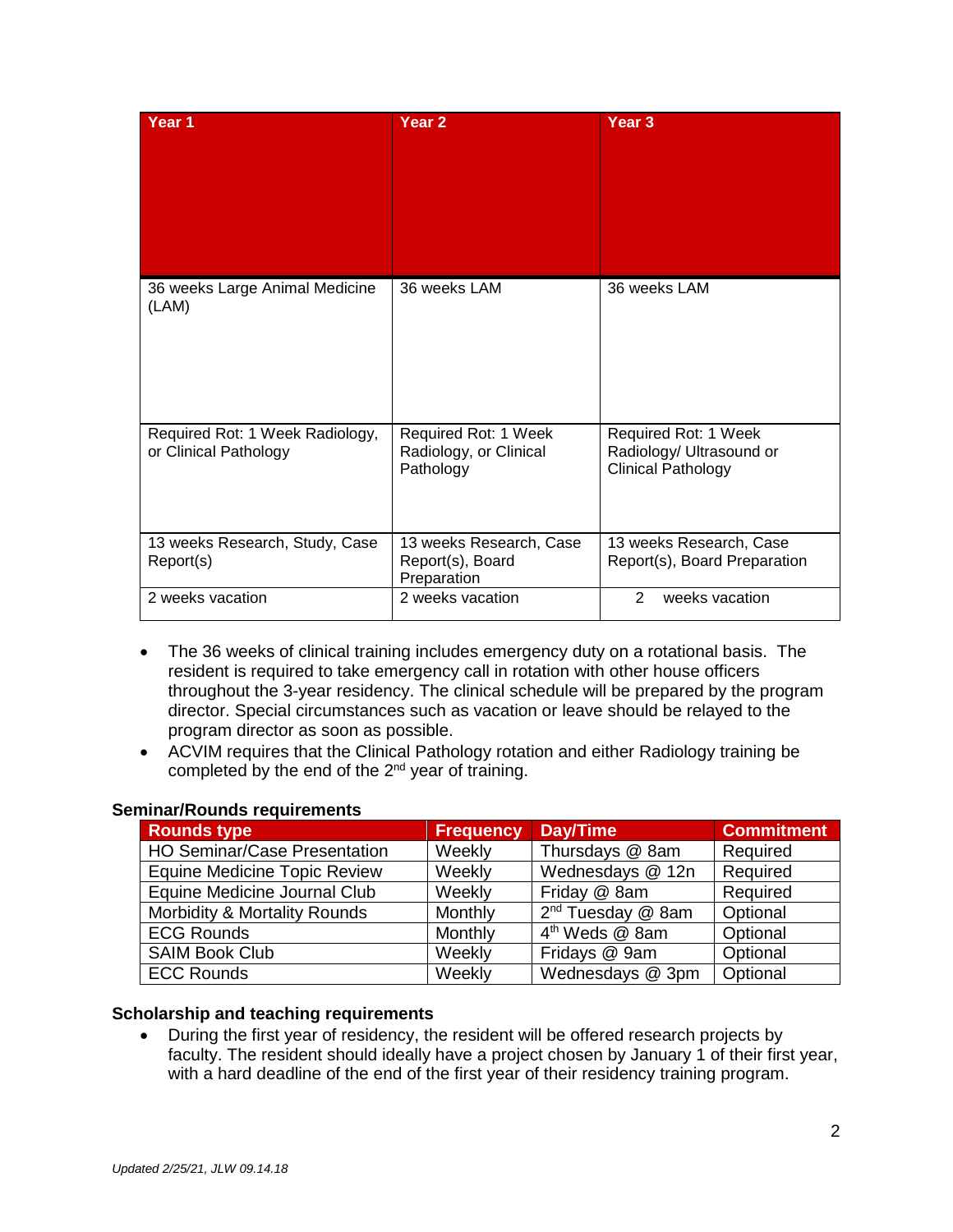| Year <sub>1</sub>                                        | Year <sub>2</sub>                                           | Year <sub>3</sub>                                                             |
|----------------------------------------------------------|-------------------------------------------------------------|-------------------------------------------------------------------------------|
| 36 weeks Large Animal Medicine<br>(LAM)                  | 36 weeks LAM                                                | 36 weeks LAM                                                                  |
| Required Rot: 1 Week Radiology,<br>or Clinical Pathology | Required Rot: 1 Week<br>Radiology, or Clinical<br>Pathology | Required Rot: 1 Week<br>Radiology/ Ultrasound or<br><b>Clinical Pathology</b> |
| 13 weeks Research, Study, Case<br>Report(s)              | 13 weeks Research, Case<br>Report(s), Board<br>Preparation  | 13 weeks Research, Case<br>Report(s), Board Preparation                       |
| 2 weeks vacation                                         | 2 weeks vacation                                            | 2<br>weeks vacation                                                           |

- The 36 weeks of clinical training includes emergency duty on a rotational basis. The resident is required to take emergency call in rotation with other house officers throughout the 3-year residency. The clinical schedule will be prepared by the program director. Special circumstances such as vacation or leave should be relayed to the program director as soon as possible.
- ACVIM requires that the Clinical Pathology rotation and either Radiology training be completed by the end of the  $2<sup>nd</sup>$  year of training.

| <b>Rounds type</b>                  | <b>Frequency</b> | Day/Time                      | <b>Commitment</b> |
|-------------------------------------|------------------|-------------------------------|-------------------|
| <b>HO Seminar/Case Presentation</b> | Weekly           | Thursdays @ 8am               | Required          |
| <b>Equine Medicine Topic Review</b> | Weekly           | Wednesdays @ 12n              | Required          |
| Equine Medicine Journal Club        | Weekly           | Friday @ 8am                  | Required          |
| Morbidity & Mortality Rounds        | Monthly          | 2 <sup>nd</sup> Tuesday @ 8am | Optional          |
| <b>ECG Rounds</b>                   | Monthly          | 4 <sup>th</sup> Weds @ 8am    | Optional          |
| <b>SAIM Book Club</b>               | Weekly           | Fridays @ 9am                 | Optional          |
| <b>ECC Rounds</b>                   | Weekly           | Wednesdays @ 3pm              | Optional          |

#### **Seminar/Rounds requirements**

#### **Scholarship and teaching requirements**

• During the first year of residency, the resident will be offered research projects by faculty. The resident should ideally have a project chosen by January 1 of their first year, with a hard deadline of the end of the first year of their residency training program.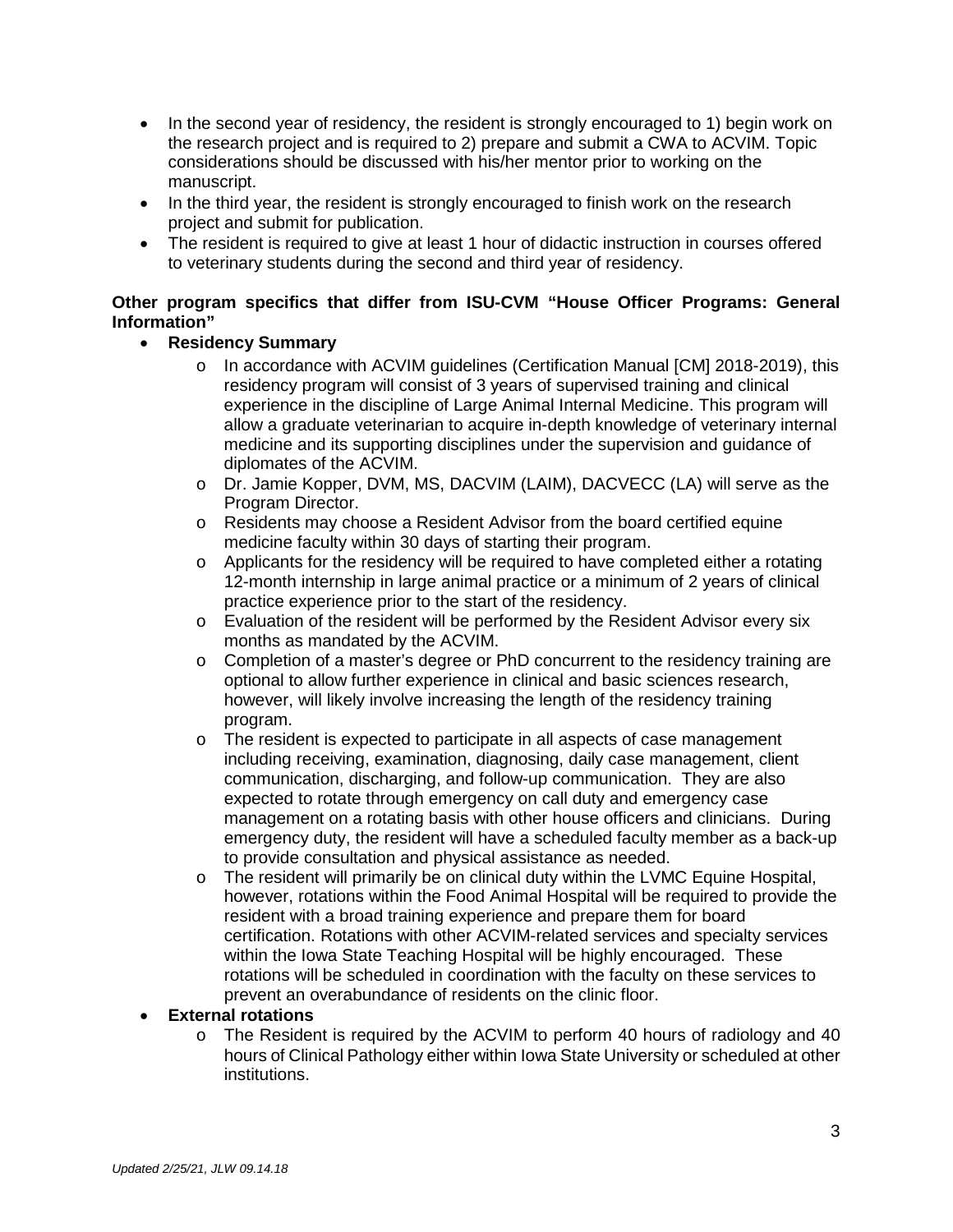- In the second year of residency, the resident is strongly encouraged to 1) begin work on the research project and is required to 2) prepare and submit a CWA to ACVIM. Topic considerations should be discussed with his/her mentor prior to working on the manuscript.
- In the third year, the resident is strongly encouraged to finish work on the research project and submit for publication.
- The resident is required to give at least 1 hour of didactic instruction in courses offered to veterinary students during the second and third year of residency.

# **Other program specifics that differ from ISU-CVM "House Officer Programs: General Information"**

# • **Residency Summary**

- o In accordance with ACVIM guidelines (Certification Manual [CM] 2018-2019), this residency program will consist of 3 years of supervised training and clinical experience in the discipline of Large Animal Internal Medicine. This program will allow a graduate veterinarian to acquire in-depth knowledge of veterinary internal medicine and its supporting disciplines under the supervision and guidance of diplomates of the ACVIM.
- o Dr. Jamie Kopper, DVM, MS, DACVIM (LAIM), DACVECC (LA) will serve as the Program Director.
- o Residents may choose a Resident Advisor from the board certified equine medicine faculty within 30 days of starting their program.
- $\circ$  Applicants for the residency will be required to have completed either a rotating 12-month internship in large animal practice or a minimum of 2 years of clinical practice experience prior to the start of the residency.
- o Evaluation of the resident will be performed by the Resident Advisor every six months as mandated by the ACVIM.
- $\circ$  Completion of a master's degree or PhD concurrent to the residency training are optional to allow further experience in clinical and basic sciences research, however, will likely involve increasing the length of the residency training program.
- o The resident is expected to participate in all aspects of case management including receiving, examination, diagnosing, daily case management, client communication, discharging, and follow-up communication. They are also expected to rotate through emergency on call duty and emergency case management on a rotating basis with other house officers and clinicians. During emergency duty, the resident will have a scheduled faculty member as a back-up to provide consultation and physical assistance as needed.
- o The resident will primarily be on clinical duty within the LVMC Equine Hospital, however, rotations within the Food Animal Hospital will be required to provide the resident with a broad training experience and prepare them for board certification. Rotations with other ACVIM-related services and specialty services within the Iowa State Teaching Hospital will be highly encouraged. These rotations will be scheduled in coordination with the faculty on these services to prevent an overabundance of residents on the clinic floor.

# • **External rotations**

o The Resident is required by the ACVIM to perform 40 hours of radiology and 40 hours of Clinical Pathology either within Iowa State University or scheduled at other institutions.